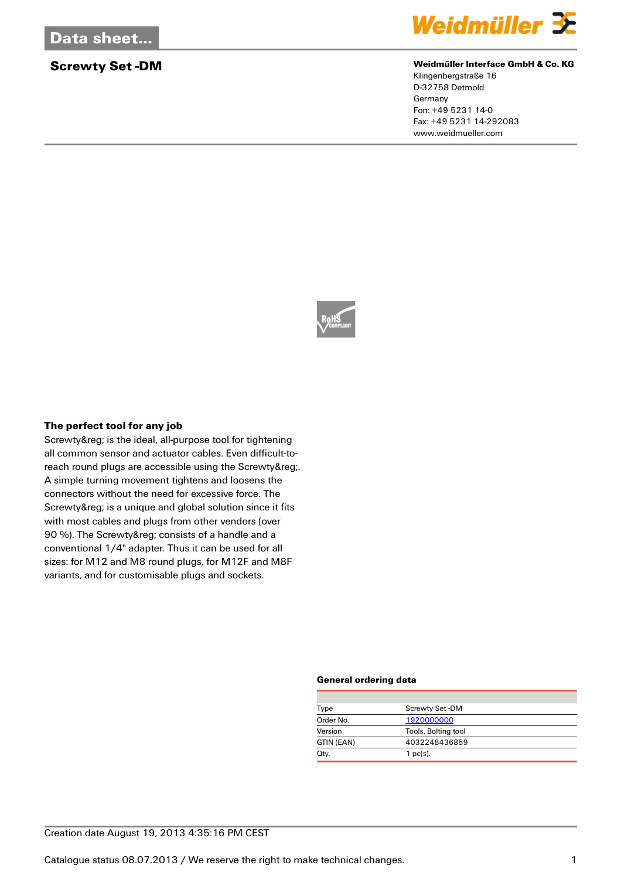

## **Screwty Set -DM Set -DM Weidmüller Interface GmbH & Co. KG**

Klingenbergstraße 16 D-32758 Detmold Germany Fon: +49 5231 14-0 Fax: +49 5231 14-292083 www.weidmueller.com



### **The perfect tool for any job**

Screwty® is the ideal, all-purpose tool for tightening all common sensor and actuator cables. Even difficult-toreach round plugs are accessible using the Screwty®. A simple turning movement tightens and loosens the connectors without the need for excessive force. The Screwty® is a unique and global solution since it fits with most cables and plugs from other vendors (over 90 %). The Screwty® consists of a handle and a conventional 1/4" adapter. Thus it can be used for all sizes: for M12 and M8 round plugs, for M12F and M8F variants, and for customisable plugs and sockets.

### **General ordering data**

| Type       | Screwty Set-DM      |  |  |
|------------|---------------------|--|--|
| Order No.  | 1920000000          |  |  |
| Version    | Tools, Bolting tool |  |  |
| GTIN (EAN) | 4032248436859       |  |  |
| Qty.       | $1$ pc(s).          |  |  |